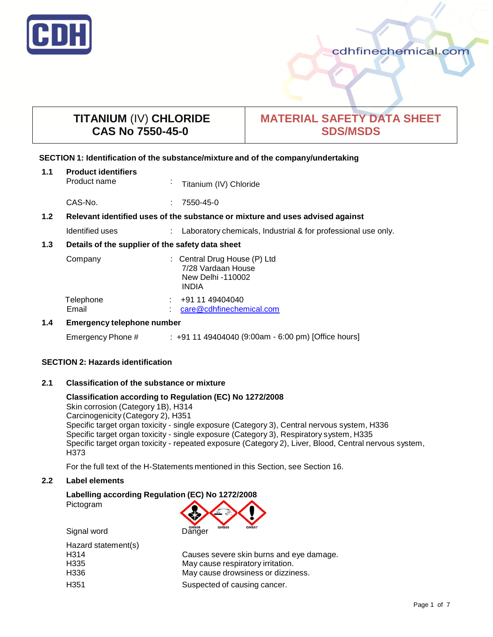

# **TITANIUM** (IV) **CHLORIDE CAS No 7550-45-0**

# **MATERIAL SAFETY DATA SHEET SDS/MSDS**

## **SECTION 1: Identification of the substance/mixture and of the company/undertaking**

| 1.1              | <b>Product identifiers</b><br>Product name                                    | $\mathbf{r}$ | Titanium (IV) Chloride                                                                  |
|------------------|-------------------------------------------------------------------------------|--------------|-----------------------------------------------------------------------------------------|
|                  | CAS-No.                                                                       | ÷            | 7550-45-0                                                                               |
| 1.2 <sub>2</sub> | Relevant identified uses of the substance or mixture and uses advised against |              |                                                                                         |
|                  | Identified uses                                                               |              | Laboratory chemicals, Industrial & for professional use only.                           |
| 1.3              | Details of the supplier of the safety data sheet                              |              |                                                                                         |
|                  | Company                                                                       |              | : Central Drug House (P) Ltd<br>7/28 Vardaan House<br>New Delhi -110002<br><b>INDIA</b> |
|                  | Telephone<br>Email                                                            |              | +91 11 49404040<br>care@cdhfinechemical.com                                             |
| 1.4              | <b>Emergency telephone number</b>                                             |              |                                                                                         |

## Emergency Phone # : +91 11 49404040 (9:00am - 6:00 pm) [Office hours]

## **SECTION 2: Hazards identification**

## **2.1 Classification of the substance or mixture**

## **Classification according to Regulation (EC) No 1272/2008**

Skin corrosion (Category 1B), H314 Carcinogenicity (Category 2), H351 Specific target organ toxicity - single exposure (Category 3), Central nervous system, H336 Specific target organ toxicity - single exposure (Category 3), Respiratory system, H335 Specific target organ toxicity - repeated exposure (Category 2), Liver, Blood, Central nervous system, H373

For the full text of the H-Statements mentioned in this Section, see Section 16.

## **2.2 Label elements**

# **Labelling according Regulation (EC) No 1272/2008** Pictogram

| GHS07                                    |
|------------------------------------------|
|                                          |
| Causes severe skin burns and eye damage. |
| May cause respiratory irritation.        |
| May cause drowsiness or dizziness.       |
| Suspected of causing cancer.             |
|                                          |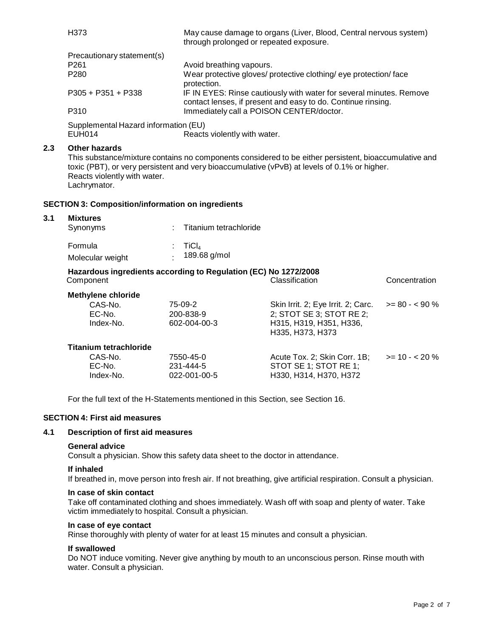|     | H373                                                                                                                          |  |                                         | May cause damage to organs (Liver, Blood, Central nervous system)<br>through prolonged or repeated exposure.                                                                                          |                |  |  |
|-----|-------------------------------------------------------------------------------------------------------------------------------|--|-----------------------------------------|-------------------------------------------------------------------------------------------------------------------------------------------------------------------------------------------------------|----------------|--|--|
|     | Precautionary statement(s)<br>P <sub>261</sub><br>P280                                                                        |  | Avoid breathing vapours.<br>protection. | Wear protective gloves/ protective clothing/ eye protection/ face                                                                                                                                     |                |  |  |
|     | $P305 + P351 + P338$                                                                                                          |  |                                         | IF IN EYES: Rinse cautiously with water for several minutes. Remove<br>contact lenses, if present and easy to do. Continue rinsing.                                                                   |                |  |  |
|     | P310                                                                                                                          |  |                                         | Immediately call a POISON CENTER/doctor.                                                                                                                                                              |                |  |  |
|     | Supplemental Hazard information (EU)<br><b>EUH014</b>                                                                         |  | Reacts violently with water.            |                                                                                                                                                                                                       |                |  |  |
| 2.3 | <b>Other hazards</b><br>Reacts violently with water.<br>Lachrymator.                                                          |  |                                         | This substance/mixture contains no components considered to be either persistent, bioaccumulative and<br>toxic (PBT), or very persistent and very bioaccumulative (vPvB) at levels of 0.1% or higher. |                |  |  |
|     | <b>SECTION 3: Composition/information on ingredients</b>                                                                      |  |                                         |                                                                                                                                                                                                       |                |  |  |
| 3.1 | <b>Mixtures</b>                                                                                                               |  |                                         |                                                                                                                                                                                                       |                |  |  |
|     | Synonyms                                                                                                                      |  | Titanium tetrachloride                  |                                                                                                                                                                                                       |                |  |  |
|     | Formula                                                                                                                       |  | TiCl <sub>4</sub>                       |                                                                                                                                                                                                       |                |  |  |
|     | Molecular weight                                                                                                              |  | 189.68 g/mol                            |                                                                                                                                                                                                       |                |  |  |
|     | Hazardous ingredients according to Regulation (EC) No 1272/2008<br>Component                                                  |  |                                         | Classification                                                                                                                                                                                        | Concentration  |  |  |
|     | <b>Methylene chloride</b>                                                                                                     |  |                                         |                                                                                                                                                                                                       |                |  |  |
|     | CAS-No.                                                                                                                       |  | 75-09-2                                 | Skin Irrit. 2; Eye Irrit. 2; Carc.                                                                                                                                                                    | $>= 80 - 50\%$ |  |  |
|     | EC-No.<br>Index-No.                                                                                                           |  | 200-838-9<br>602-004-00-3               | 2; STOT SE 3; STOT RE 2;<br>H315, H319, H351, H336,<br>H335, H373, H373                                                                                                                               |                |  |  |
|     | <b>Titanium tetrachloride</b>                                                                                                 |  |                                         |                                                                                                                                                                                                       |                |  |  |
|     | CAS-No.<br>EC-No.<br>Index-No.                                                                                                |  | 7550-45-0<br>231-444-5<br>022-001-00-5  | Acute Tox. 2; Skin Corr. 1B;<br>STOT SE 1; STOT RE 1;<br>H330, H314, H370, H372                                                                                                                       | $>= 10 - 20%$  |  |  |
|     | For the full text of the H-Statements mentioned in this Section, see Section 16.                                              |  |                                         |                                                                                                                                                                                                       |                |  |  |
|     | <b>SECTION 4: First aid measures</b>                                                                                          |  |                                         |                                                                                                                                                                                                       |                |  |  |
| 4.1 | <b>Description of first aid measures</b>                                                                                      |  |                                         |                                                                                                                                                                                                       |                |  |  |
|     | <b>General advice</b><br>Consult a physician. Show this safety data sheet to the doctor in attendance.                        |  |                                         |                                                                                                                                                                                                       |                |  |  |
|     | If inhaled<br>If breathed in, move person into fresh air. If not breathing, give artificial respiration. Consult a physician. |  |                                         |                                                                                                                                                                                                       |                |  |  |
|     | In case of skin contact<br>victim immediately to hospital. Consult a physician.                                               |  |                                         | Take off contaminated clothing and shoes immediately. Wash off with soap and plenty of water. Take                                                                                                    |                |  |  |

## **In case of eye contact**

Rinse thoroughly with plenty of water for at least 15 minutes and consult a physician.

## **If swallowed**

Do NOT induce vomiting. Never give anything by mouth to an unconscious person. Rinse mouth with water. Consult a physician.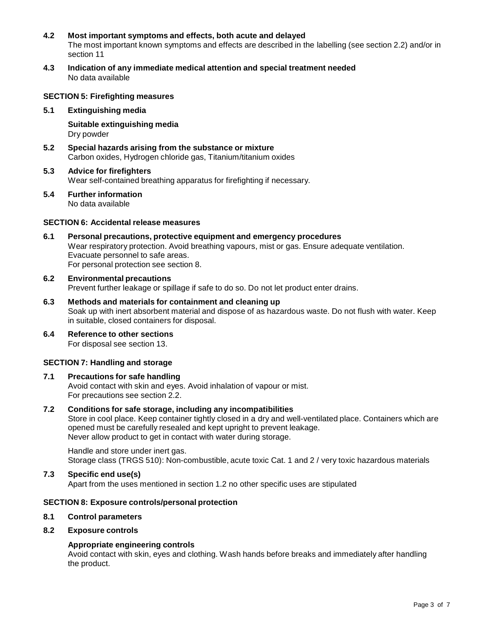- **4.2 Most important symptoms and effects, both acute and delayed** The most important known symptoms and effects are described in the labelling (see section 2.2) and/or in section 11
- **4.3 Indication of any immediate medical attention and special treatment needed** No data available

## **SECTION 5: Firefighting measures**

**5.1 Extinguishing media**

**Suitable extinguishing media** Dry powder

- **5.2 Special hazards arising from the substance or mixture** Carbon oxides, Hydrogen chloride gas, Titanium/titanium oxides
- **5.3 Advice for firefighters** Wear self-contained breathing apparatus for firefighting if necessary.
- **5.4 Further information** No data available

## **SECTION 6: Accidental release measures**

- **6.1 Personal precautions, protective equipment and emergency procedures** Wear respiratory protection. Avoid breathing vapours, mist or gas. Ensure adequate ventilation. Evacuate personnel to safe areas. For personal protection see section 8.
- **6.2 Environmental precautions** Prevent further leakage or spillage if safe to do so. Do not let product enter drains.
- **6.3 Methods and materials for containment and cleaning up** Soak up with inert absorbent material and dispose of as hazardous waste. Do not flush with water. Keep in suitable, closed containers for disposal.
- **6.4 Reference to other sections** For disposal see section 13.

## **SECTION 7: Handling and storage**

## **7.1 Precautions for safe handling**

Avoid contact with skin and eyes. Avoid inhalation of vapour or mist. For precautions see section 2.2.

## **7.2 Conditions for safe storage, including any incompatibilities**

Store in cool place. Keep container tightly closed in a dry and well-ventilated place. Containers which are opened must be carefully resealed and kept upright to prevent leakage. Never allow product to get in contact with water during storage.

Handle and store under inert gas. Storage class (TRGS 510): Non-combustible, acute toxic Cat. 1 and 2 / very toxic hazardous materials

## **7.3 Specific end use(s)**

Apart from the uses mentioned in section 1.2 no other specific uses are stipulated

## **SECTION 8: Exposure controls/personal protection**

## **8.1 Control parameters**

## **8.2 Exposure controls**

## **Appropriate engineering controls**

Avoid contact with skin, eyes and clothing. Wash hands before breaks and immediately after handling the product.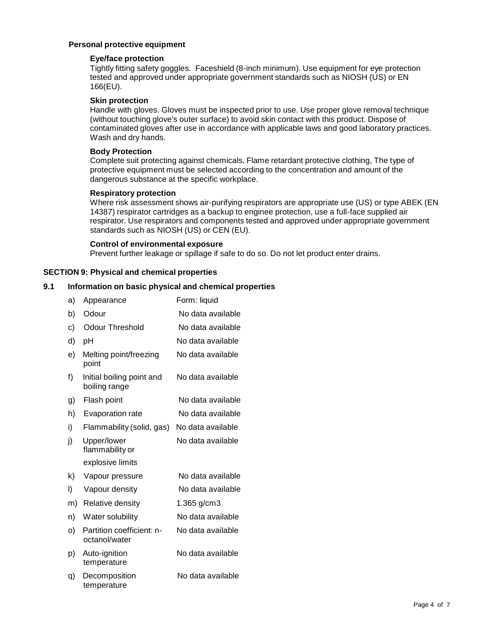## **Personal protective equipment**

## **Eye/face protection**

Tightly fitting safety goggles. Faceshield (8-inch minimum). Use equipment for eye protection tested and approved under appropriate government standards such as NIOSH (US) or EN 166(EU).

## **Skin protection**

Handle with gloves. Gloves must be inspected prior to use. Use proper glove removal technique (without touching glove's outer surface) to avoid skin contact with this product. Dispose of contaminated gloves after use in accordance with applicable laws and good laboratory practices. Wash and dry hands.

## **Body Protection**

Complete suit protecting against chemicals, Flame retardant protective clothing, The type of protective equipment must be selected according to the concentration and amount of the dangerous substance at the specific workplace.

## **Respiratory protection**

Where risk assessment shows air-purifying respirators are appropriate use (US) or type ABEK (EN 14387) respirator cartridges as a backup to enginee protection, use a full-face supplied air respirator. Use respirators and components tested and approved under appropriate government standards such as NIOSH (US) or CEN (EU).

## **Control of environmental exposure**

Prevent further leakage or spillage if safe to do so. Do not let product enter drains.

## **SECTION 9: Physical and chemical properties**

## **9.1 Information on basic physical and chemical properties**

| a) | Appearance                                 | Form: liquid      |
|----|--------------------------------------------|-------------------|
| b) | Odour                                      | No data available |
| c) | Odour Threshold                            | No data available |
| d) | рH                                         | No data available |
| e) | Melting point/freezing<br>point            | No data available |
| f) | Initial boiling point and<br>boiling range | No data available |
| g) | Flash point                                | No data available |
| h) | <b>Evaporation rate</b>                    | No data available |
| i) | Flammability (solid, gas)                  | No data available |
| j) | Upper/lower<br>flammability or             | No data available |
|    | explosive limits                           |                   |
| k) | Vapour pressure                            | No data available |
| I) | Vapour density                             | No data available |
| m) | Relative density                           | 1.365 $g/cm3$     |
| n) | Water solubility                           | No data available |
| o) | Partition coefficient: n-<br>octanol/water | No data available |
| p) | Auto-ignition<br>temperature               | No data available |
| q) | Decomposition<br>temperature               | No data available |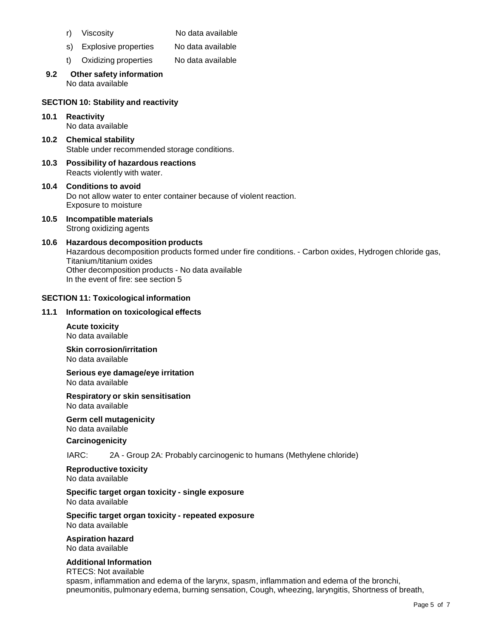- r) Viscosity No data available
- s) Explosive properties No data available
- t) Oxidizing properties No data available

#### **9.2 Other safety information** No data available

#### **SECTION 10: Stability and reactivity**

- **10.1 Reactivity** No data available
- **10.2 Chemical stability** Stable under recommended storage conditions.
- **10.3 Possibility of hazardous reactions** Reacts violently with water.
- **10.4 Conditions to avoid** Do not allow water to enter container because of violent reaction. Exposure to moisture
- **10.5 Incompatible materials** Strong oxidizing agents
- **10.6 Hazardous decomposition products** Hazardous decomposition products formed under fire conditions. - Carbon oxides, Hydrogen chloride gas, Titanium/titanium oxides Other decomposition products - No data available In the event of fire: see section 5

#### **SECTION 11: Toxicological information**

#### **11.1 Information on toxicological effects**

**Acute toxicity** No data available

**Skin corrosion/irritation** No data available

**Serious eye damage/eye irritation** No data available

**Respiratory or skin sensitisation** No data available

**Germ cell mutagenicity** No data available

#### **Carcinogenicity**

IARC: 2A - Group 2A: Probably carcinogenic to humans (Methylene chloride)

**Reproductive toxicity** No data available

**Specific target organ toxicity - single exposure** No data available

**Specific target organ toxicity - repeated exposure** No data available

**Aspiration hazard** No data available

## **Additional Information**

RTECS: Not available spasm, inflammation and edema of the larynx, spasm, inflammation and edema of the bronchi, pneumonitis, pulmonary edema, burning sensation, Cough, wheezing, laryngitis, Shortness of breath,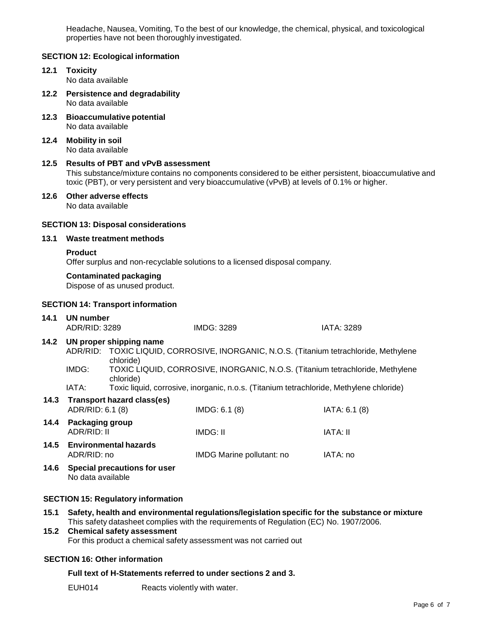Headache, Nausea, Vomiting, To the best of our knowledge, the chemical, physical, and toxicological properties have not been thoroughly investigated.

## **SECTION 12: Ecological information**

- **12.1 Toxicity** No data available
- **12.2 Persistence and degradability** No data available
- **12.3 Bioaccumulative potential** No data available
- **12.4 Mobility in soil** No data available

## **12.5 Results of PBT and vPvB assessment** This substance/mixture contains no components considered to be either persistent, bioaccumulative and toxic (PBT), or very persistent and very bioaccumulative (vPvB) at levels of 0.1% or higher.

#### **12.6 Other adverse effects** No data available

## **SECTION 13: Disposal considerations**

# **13.1 Waste treatment methods**

#### **Product**

Offer surplus and non-recyclable solutions to a licensed disposal company.

## **Contaminated packaging**

Dispose of as unused product.

## **SECTION 14: Transport information**

| 14.1 | <b>UN number</b><br>ADR/RID: 3289           |                                      | IMDG: 3289                                                                              | IATA: 3289   |
|------|---------------------------------------------|--------------------------------------|-----------------------------------------------------------------------------------------|--------------|
| 14.2 |                                             | UN proper shipping name<br>chloride) | ADR/RID: TOXIC LIQUID, CORROSIVE, INORGANIC, N.O.S. (Titanium tetrachloride, Methylene  |              |
|      | IMDG:                                       | chloride)                            | TOXIC LIQUID, CORROSIVE, INORGANIC, N.O.S. (Titanium tetrachloride, Methylene           |              |
|      | IATA:                                       |                                      | Toxic liquid, corrosive, inorganic, n.o.s. (Titanium tetrachloride, Methylene chloride) |              |
| 14.3 | ADR/RID: 6.1 (8)                            | Transport hazard class(es)           | IMDG: 6.1(8)                                                                            | IATA: 6.1(8) |
| 14.4 | Packaging group<br>ADR/RID: II              |                                      | IMDG: II                                                                                | IATA: II     |
| 14.5 | <b>Environmental hazards</b><br>ADR/RID: no |                                      | IMDG Marine pollutant: no                                                               | IATA: no     |
| 14.6 | No data available                           | <b>Special precautions for user</b>  |                                                                                         |              |

## **SECTION 15: Regulatory information**

**15.1 Safety, health and environmental regulations/legislation specific for the substance or mixture** This safety datasheet complies with the requirements of Regulation (EC) No. 1907/2006.

# **15.2 Chemical safety assessment** For this product a chemical safety assessment was not carried out

## **SECTION 16: Other information**

## **Full text of H-Statements referred to under sections 2 and 3.**

EUH014 Reacts violently with water.